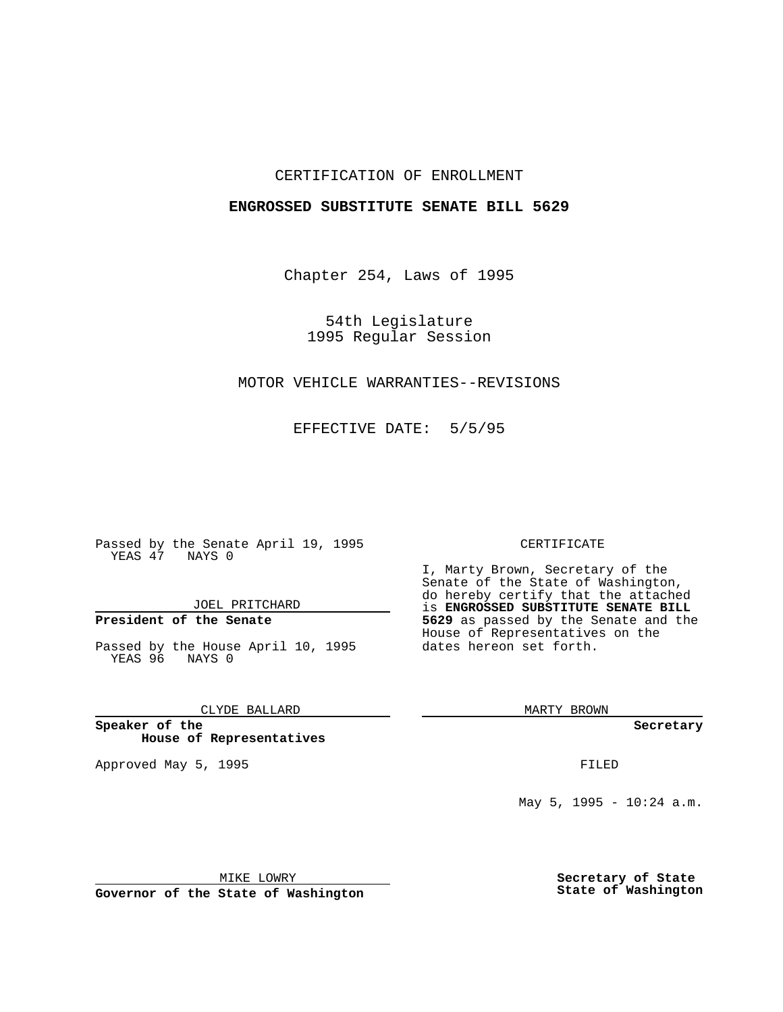## CERTIFICATION OF ENROLLMENT

## **ENGROSSED SUBSTITUTE SENATE BILL 5629**

Chapter 254, Laws of 1995

54th Legislature 1995 Regular Session

# MOTOR VEHICLE WARRANTIES--REVISIONS

EFFECTIVE DATE: 5/5/95

Passed by the Senate April 19, 1995 YEAS 47 NAYS 0

JOEL PRITCHARD

# **President of the Senate**

Passed by the House April 10, 1995 YEAS 96 NAYS 0

CLYDE BALLARD

**Speaker of the House of Representatives**

Approved May 5, 1995 **FILED** 

#### CERTIFICATE

I, Marty Brown, Secretary of the Senate of the State of Washington, do hereby certify that the attached is **ENGROSSED SUBSTITUTE SENATE BILL 5629** as passed by the Senate and the House of Representatives on the dates hereon set forth.

MARTY BROWN

**Secretary**

May  $5$ , 1995 - 10:24 a.m.

MIKE LOWRY

**Governor of the State of Washington**

**Secretary of State State of Washington**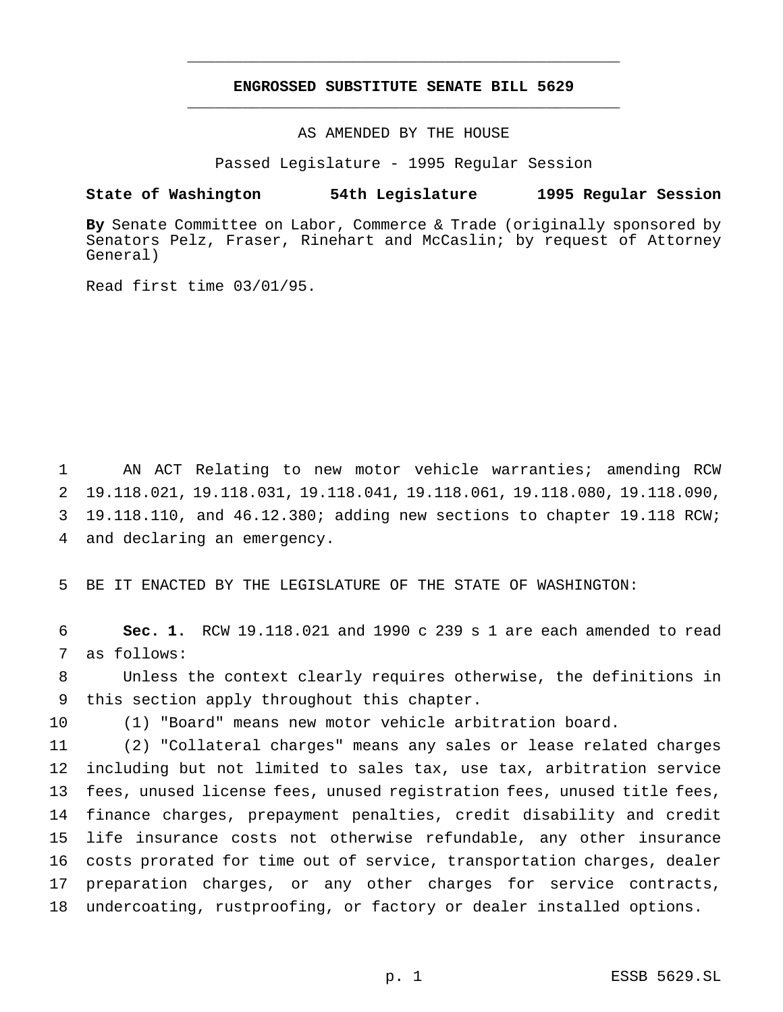# **ENGROSSED SUBSTITUTE SENATE BILL 5629** \_\_\_\_\_\_\_\_\_\_\_\_\_\_\_\_\_\_\_\_\_\_\_\_\_\_\_\_\_\_\_\_\_\_\_\_\_\_\_\_\_\_\_\_\_\_\_

\_\_\_\_\_\_\_\_\_\_\_\_\_\_\_\_\_\_\_\_\_\_\_\_\_\_\_\_\_\_\_\_\_\_\_\_\_\_\_\_\_\_\_\_\_\_\_

AS AMENDED BY THE HOUSE

Passed Legislature - 1995 Regular Session

### **State of Washington 54th Legislature 1995 Regular Session**

**By** Senate Committee on Labor, Commerce & Trade (originally sponsored by Senators Pelz, Fraser, Rinehart and McCaslin; by request of Attorney General)

Read first time 03/01/95.

 AN ACT Relating to new motor vehicle warranties; amending RCW 19.118.021, 19.118.031, 19.118.041, 19.118.061, 19.118.080, 19.118.090, 19.118.110, and 46.12.380; adding new sections to chapter 19.118 RCW; and declaring an emergency.

BE IT ENACTED BY THE LEGISLATURE OF THE STATE OF WASHINGTON:

 **Sec. 1.** RCW 19.118.021 and 1990 c 239 s 1 are each amended to read as follows:

 Unless the context clearly requires otherwise, the definitions in this section apply throughout this chapter.

(1) "Board" means new motor vehicle arbitration board.

 (2) "Collateral charges" means any sales or lease related charges including but not limited to sales tax, use tax, arbitration service fees, unused license fees, unused registration fees, unused title fees, finance charges, prepayment penalties, credit disability and credit life insurance costs not otherwise refundable, any other insurance costs prorated for time out of service, transportation charges, dealer preparation charges, or any other charges for service contracts, undercoating, rustproofing, or factory or dealer installed options.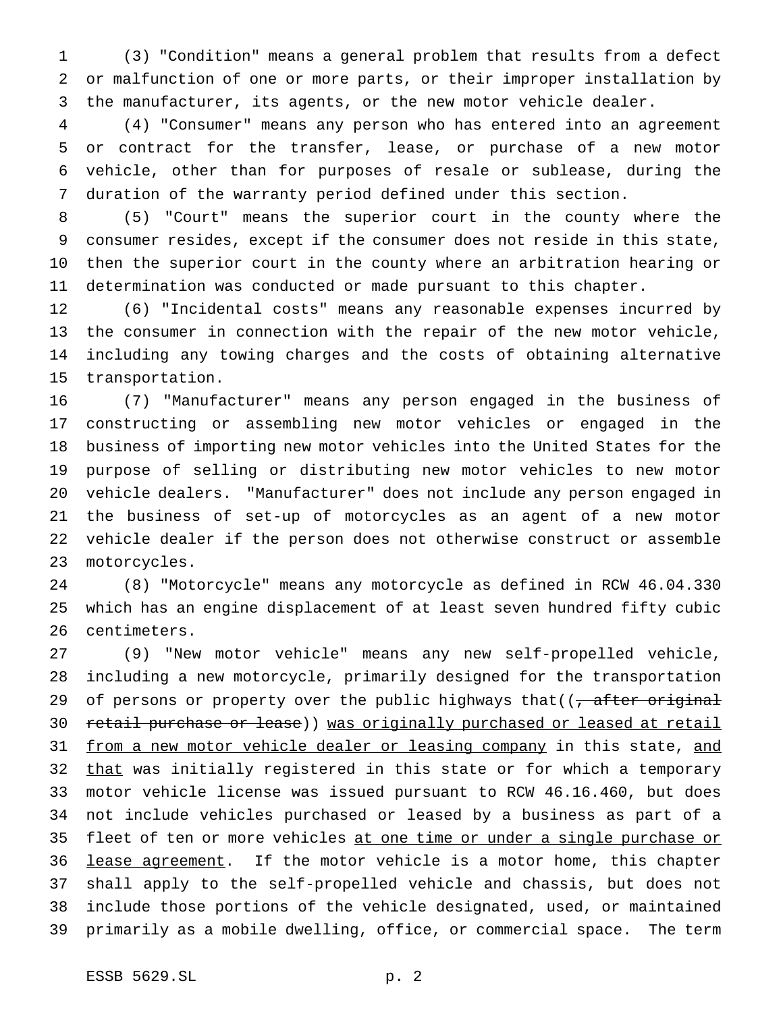(3) "Condition" means a general problem that results from a defect or malfunction of one or more parts, or their improper installation by the manufacturer, its agents, or the new motor vehicle dealer.

 (4) "Consumer" means any person who has entered into an agreement or contract for the transfer, lease, or purchase of a new motor vehicle, other than for purposes of resale or sublease, during the duration of the warranty period defined under this section.

 (5) "Court" means the superior court in the county where the consumer resides, except if the consumer does not reside in this state, then the superior court in the county where an arbitration hearing or determination was conducted or made pursuant to this chapter.

 (6) "Incidental costs" means any reasonable expenses incurred by the consumer in connection with the repair of the new motor vehicle, including any towing charges and the costs of obtaining alternative transportation.

 (7) "Manufacturer" means any person engaged in the business of constructing or assembling new motor vehicles or engaged in the business of importing new motor vehicles into the United States for the purpose of selling or distributing new motor vehicles to new motor vehicle dealers. "Manufacturer" does not include any person engaged in the business of set-up of motorcycles as an agent of a new motor vehicle dealer if the person does not otherwise construct or assemble motorcycles.

 (8) "Motorcycle" means any motorcycle as defined in RCW 46.04.330 which has an engine displacement of at least seven hundred fifty cubic centimeters.

 (9) "New motor vehicle" means any new self-propelled vehicle, including a new motorcycle, primarily designed for the transportation 29 of persons or property over the public highways that((, after original 30 retail purchase or lease)) was originally purchased or leased at retail 31 from a new motor vehicle dealer or leasing company in this state, and 32 that was initially registered in this state or for which a temporary motor vehicle license was issued pursuant to RCW 46.16.460, but does not include vehicles purchased or leased by a business as part of a 35 fleet of ten or more vehicles at one time or under a single purchase or 36 lease agreement. If the motor vehicle is a motor home, this chapter shall apply to the self-propelled vehicle and chassis, but does not include those portions of the vehicle designated, used, or maintained primarily as a mobile dwelling, office, or commercial space. The term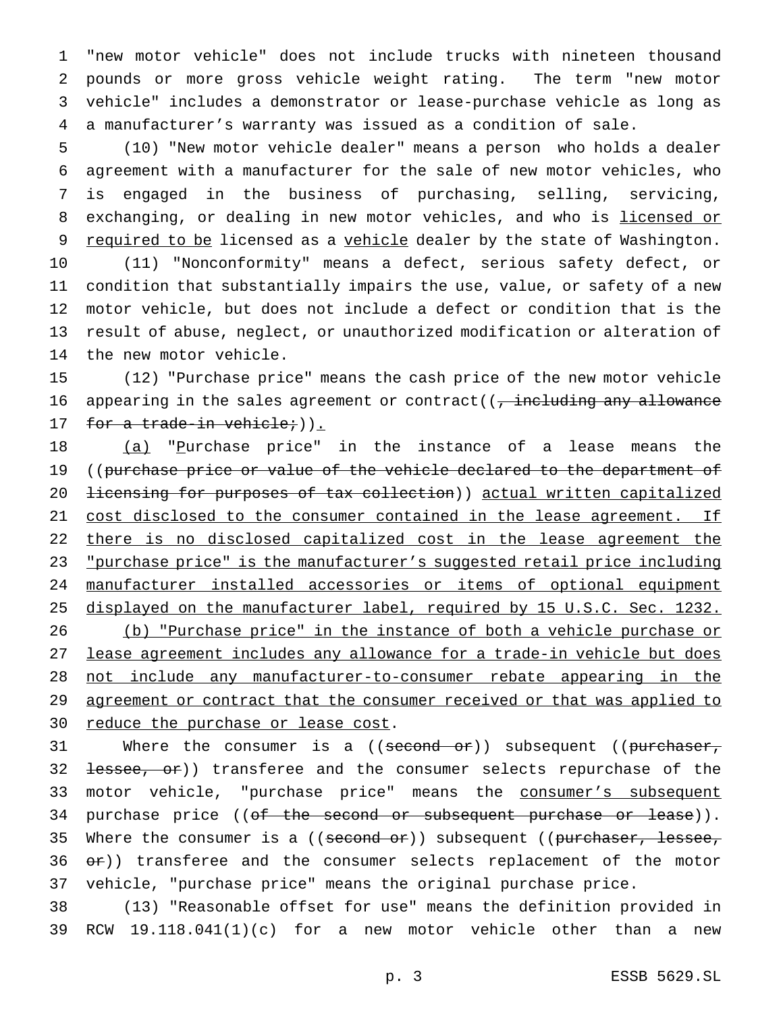"new motor vehicle" does not include trucks with nineteen thousand pounds or more gross vehicle weight rating. The term "new motor vehicle" includes a demonstrator or lease-purchase vehicle as long as a manufacturer's warranty was issued as a condition of sale.

 (10) "New motor vehicle dealer" means a person who holds a dealer agreement with a manufacturer for the sale of new motor vehicles, who is engaged in the business of purchasing, selling, servicing, 8 exchanging, or dealing in new motor vehicles, and who is licensed or 9 required to be licensed as a vehicle dealer by the state of Washington. (11) "Nonconformity" means a defect, serious safety defect, or condition that substantially impairs the use, value, or safety of a new motor vehicle, but does not include a defect or condition that is the result of abuse, neglect, or unauthorized modification or alteration of the new motor vehicle.

15 (12) "Purchase price" means the cash price of the new motor vehicle 16 appearing in the sales agreement or contract( $\sqrt{ }$  including any allowance 17 for a trade-in vehicle; ().

18 (a) "Purchase price" in the instance of a lease means the 19 ((purchase price or value of the vehicle declared to the department of 20 licensing for purposes of tax collection)) actual written capitalized 21 cost disclosed to the consumer contained in the lease agreement. If 22 there is no disclosed capitalized cost in the lease agreement the 23 "purchase price" is the manufacturer's suggested retail price including 24 manufacturer installed accessories or items of optional equipment 25 displayed on the manufacturer label, required by 15 U.S.C. Sec. 1232. 26 (b) "Purchase price" in the instance of both a vehicle purchase or 27 lease agreement includes any allowance for a trade-in vehicle but does 28 not include any manufacturer-to-consumer rebate appearing in the 29 agreement or contract that the consumer received or that was applied to 30 reduce the purchase or lease cost.

31 Where the consumer is a ((second or)) subsequent ((purchaser, 32 <del>lessee, or</del>)) transferee and the consumer selects repurchase of the 33 motor vehicle, "purchase price" means the consumer's subsequent 34 purchase price ((of the second or subsequent purchase or lease)). 35 Where the consumer is a ((second or)) subsequent ((purchaser, lessee,  $36 \text{ or}$ ) transferee and the consumer selects replacement of the motor 37 vehicle, "purchase price" means the original purchase price.

38 (13) "Reasonable offset for use" means the definition provided in 39 RCW 19.118.041(1)(c) for a new motor vehicle other than a new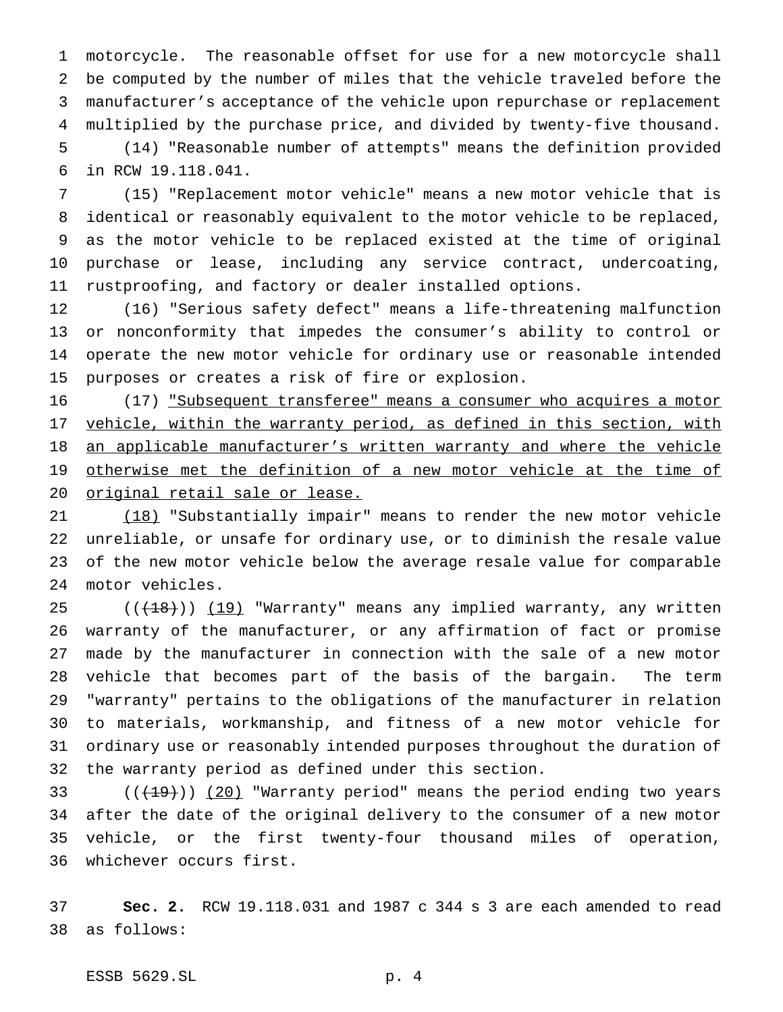motorcycle. The reasonable offset for use for a new motorcycle shall be computed by the number of miles that the vehicle traveled before the manufacturer's acceptance of the vehicle upon repurchase or replacement multiplied by the purchase price, and divided by twenty-five thousand. (14) "Reasonable number of attempts" means the definition provided in RCW 19.118.041.

 (15) "Replacement motor vehicle" means a new motor vehicle that is identical or reasonably equivalent to the motor vehicle to be replaced, as the motor vehicle to be replaced existed at the time of original purchase or lease, including any service contract, undercoating, rustproofing, and factory or dealer installed options.

 (16) "Serious safety defect" means a life-threatening malfunction or nonconformity that impedes the consumer's ability to control or operate the new motor vehicle for ordinary use or reasonable intended purposes or creates a risk of fire or explosion.

16 (17) "Subsequent transferee" means a consumer who acquires a motor 17 vehicle, within the warranty period, as defined in this section, with an applicable manufacturer's written warranty and where the vehicle otherwise met the definition of a new motor vehicle at the time of original retail sale or lease.

 (18) "Substantially impair" means to render the new motor vehicle unreliable, or unsafe for ordinary use, or to diminish the resale value of the new motor vehicle below the average resale value for comparable motor vehicles.

25 ((<del>(18)</del>)) (19) "Warranty" means any implied warranty, any written warranty of the manufacturer, or any affirmation of fact or promise made by the manufacturer in connection with the sale of a new motor vehicle that becomes part of the basis of the bargain. The term "warranty" pertains to the obligations of the manufacturer in relation to materials, workmanship, and fitness of a new motor vehicle for ordinary use or reasonably intended purposes throughout the duration of the warranty period as defined under this section.

 $((+19))$   $(20)$  "Warranty period" means the period ending two years after the date of the original delivery to the consumer of a new motor vehicle, or the first twenty-four thousand miles of operation, whichever occurs first.

 **Sec. 2.** RCW 19.118.031 and 1987 c 344 s 3 are each amended to read as follows:

ESSB 5629.SL p. 4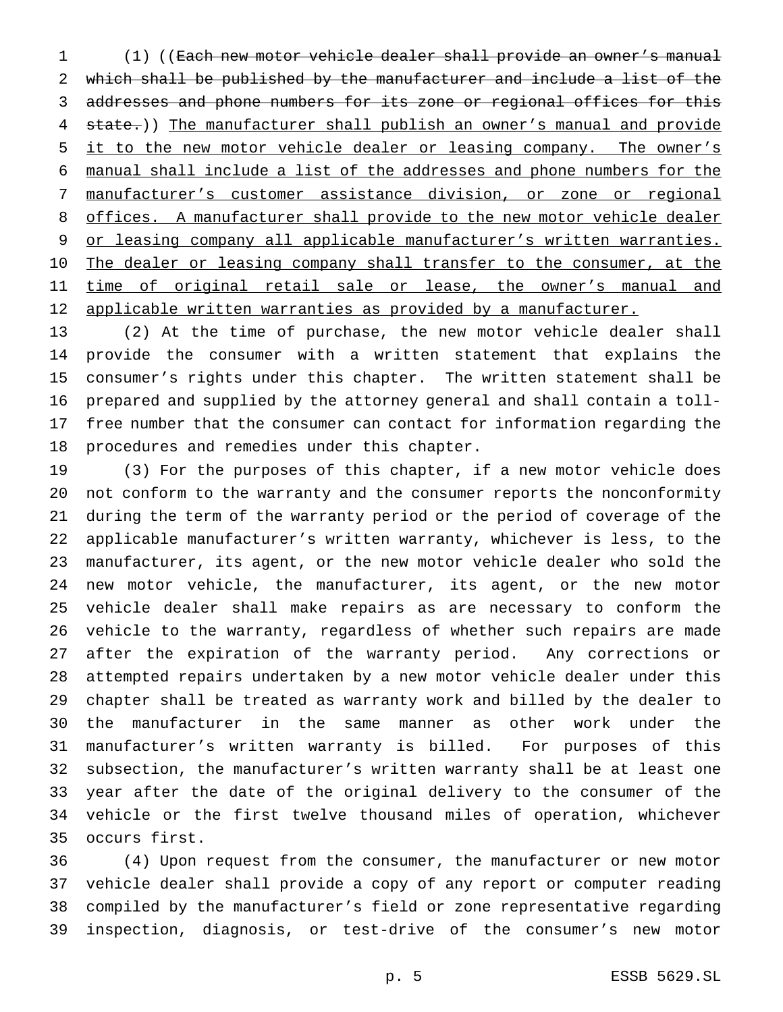(1) ((Each new motor vehicle dealer shall provide an owner's manual which shall be published by the manufacturer and include a list of the addresses and phone numbers for its zone or regional offices for this 4 state.)) The manufacturer shall publish an owner's manual and provide 5 it to the new motor vehicle dealer or leasing company. The owner's manual shall include a list of the addresses and phone numbers for the manufacturer's customer assistance division, or zone or regional offices. A manufacturer shall provide to the new motor vehicle dealer 9 or leasing company all applicable manufacturer's written warranties. 10 The dealer or leasing company shall transfer to the consumer, at the 11 time of original retail sale or lease, the owner's manual and 12 applicable written warranties as provided by a manufacturer.

 (2) At the time of purchase, the new motor vehicle dealer shall provide the consumer with a written statement that explains the consumer's rights under this chapter. The written statement shall be prepared and supplied by the attorney general and shall contain a toll- free number that the consumer can contact for information regarding the procedures and remedies under this chapter.

 (3) For the purposes of this chapter, if a new motor vehicle does not conform to the warranty and the consumer reports the nonconformity during the term of the warranty period or the period of coverage of the applicable manufacturer's written warranty, whichever is less, to the manufacturer, its agent, or the new motor vehicle dealer who sold the new motor vehicle, the manufacturer, its agent, or the new motor vehicle dealer shall make repairs as are necessary to conform the vehicle to the warranty, regardless of whether such repairs are made after the expiration of the warranty period. Any corrections or attempted repairs undertaken by a new motor vehicle dealer under this chapter shall be treated as warranty work and billed by the dealer to the manufacturer in the same manner as other work under the manufacturer's written warranty is billed. For purposes of this subsection, the manufacturer's written warranty shall be at least one year after the date of the original delivery to the consumer of the vehicle or the first twelve thousand miles of operation, whichever occurs first.

 (4) Upon request from the consumer, the manufacturer or new motor vehicle dealer shall provide a copy of any report or computer reading compiled by the manufacturer's field or zone representative regarding inspection, diagnosis, or test-drive of the consumer's new motor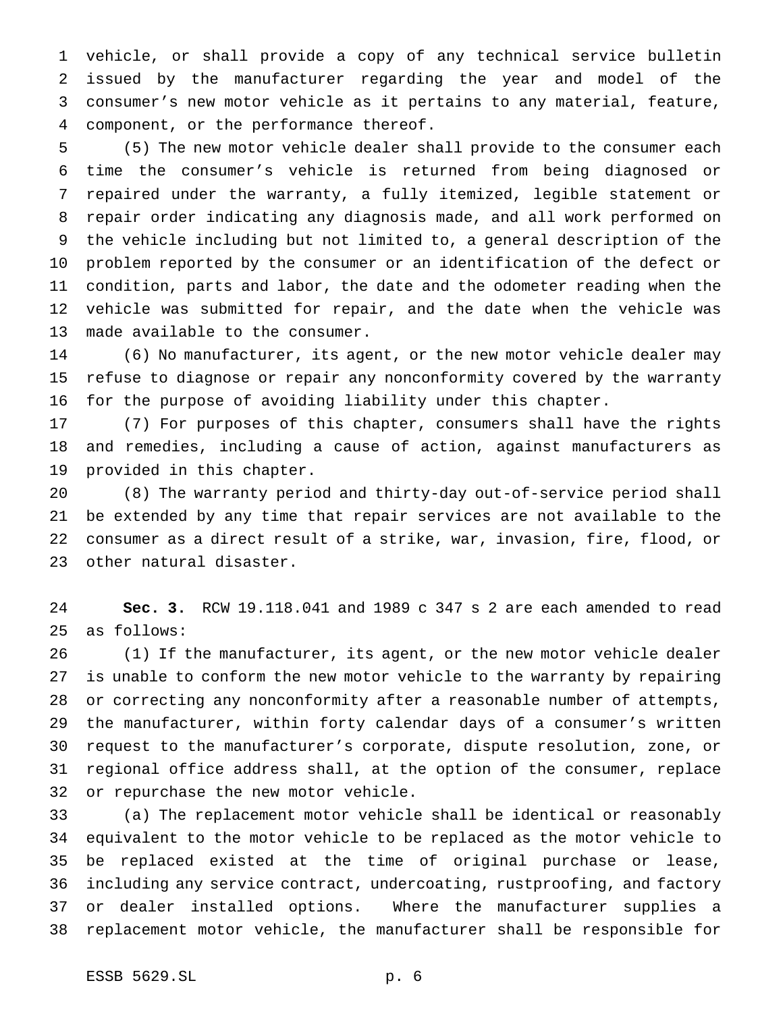vehicle, or shall provide a copy of any technical service bulletin issued by the manufacturer regarding the year and model of the consumer's new motor vehicle as it pertains to any material, feature, component, or the performance thereof.

 (5) The new motor vehicle dealer shall provide to the consumer each time the consumer's vehicle is returned from being diagnosed or repaired under the warranty, a fully itemized, legible statement or repair order indicating any diagnosis made, and all work performed on the vehicle including but not limited to, a general description of the problem reported by the consumer or an identification of the defect or condition, parts and labor, the date and the odometer reading when the vehicle was submitted for repair, and the date when the vehicle was made available to the consumer.

 (6) No manufacturer, its agent, or the new motor vehicle dealer may refuse to diagnose or repair any nonconformity covered by the warranty for the purpose of avoiding liability under this chapter.

 (7) For purposes of this chapter, consumers shall have the rights and remedies, including a cause of action, against manufacturers as provided in this chapter.

 (8) The warranty period and thirty-day out-of-service period shall be extended by any time that repair services are not available to the consumer as a direct result of a strike, war, invasion, fire, flood, or other natural disaster.

 **Sec. 3.** RCW 19.118.041 and 1989 c 347 s 2 are each amended to read as follows:

 (1) If the manufacturer, its agent, or the new motor vehicle dealer is unable to conform the new motor vehicle to the warranty by repairing or correcting any nonconformity after a reasonable number of attempts, the manufacturer, within forty calendar days of a consumer's written request to the manufacturer's corporate, dispute resolution, zone, or regional office address shall, at the option of the consumer, replace or repurchase the new motor vehicle.

 (a) The replacement motor vehicle shall be identical or reasonably equivalent to the motor vehicle to be replaced as the motor vehicle to be replaced existed at the time of original purchase or lease, including any service contract, undercoating, rustproofing, and factory or dealer installed options. Where the manufacturer supplies a replacement motor vehicle, the manufacturer shall be responsible for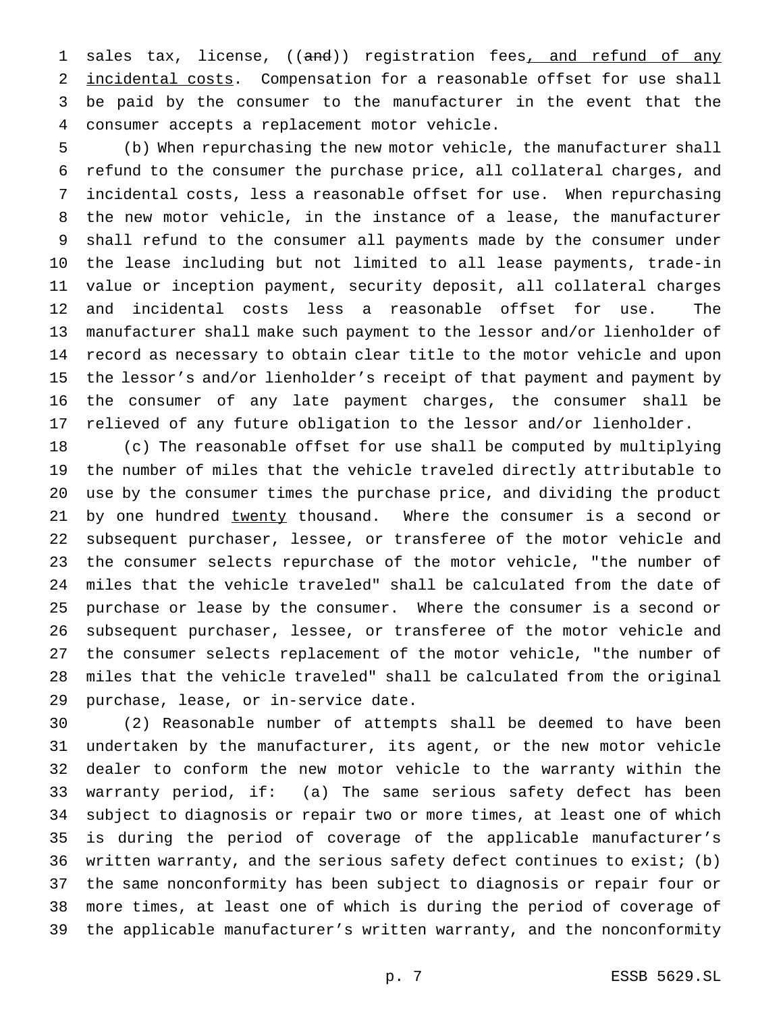1 sales tax, license, ((and)) registration fees, and refund of any incidental costs. Compensation for a reasonable offset for use shall be paid by the consumer to the manufacturer in the event that the consumer accepts a replacement motor vehicle.

 (b) When repurchasing the new motor vehicle, the manufacturer shall refund to the consumer the purchase price, all collateral charges, and incidental costs, less a reasonable offset for use. When repurchasing the new motor vehicle, in the instance of a lease, the manufacturer shall refund to the consumer all payments made by the consumer under the lease including but not limited to all lease payments, trade-in value or inception payment, security deposit, all collateral charges and incidental costs less a reasonable offset for use. The manufacturer shall make such payment to the lessor and/or lienholder of record as necessary to obtain clear title to the motor vehicle and upon the lessor's and/or lienholder's receipt of that payment and payment by the consumer of any late payment charges, the consumer shall be relieved of any future obligation to the lessor and/or lienholder.

 (c) The reasonable offset for use shall be computed by multiplying the number of miles that the vehicle traveled directly attributable to use by the consumer times the purchase price, and dividing the product 21 by one hundred twenty thousand. Where the consumer is a second or subsequent purchaser, lessee, or transferee of the motor vehicle and the consumer selects repurchase of the motor vehicle, "the number of miles that the vehicle traveled" shall be calculated from the date of purchase or lease by the consumer. Where the consumer is a second or subsequent purchaser, lessee, or transferee of the motor vehicle and the consumer selects replacement of the motor vehicle, "the number of miles that the vehicle traveled" shall be calculated from the original purchase, lease, or in-service date.

 (2) Reasonable number of attempts shall be deemed to have been undertaken by the manufacturer, its agent, or the new motor vehicle dealer to conform the new motor vehicle to the warranty within the warranty period, if: (a) The same serious safety defect has been subject to diagnosis or repair two or more times, at least one of which is during the period of coverage of the applicable manufacturer's written warranty, and the serious safety defect continues to exist; (b) the same nonconformity has been subject to diagnosis or repair four or more times, at least one of which is during the period of coverage of the applicable manufacturer's written warranty, and the nonconformity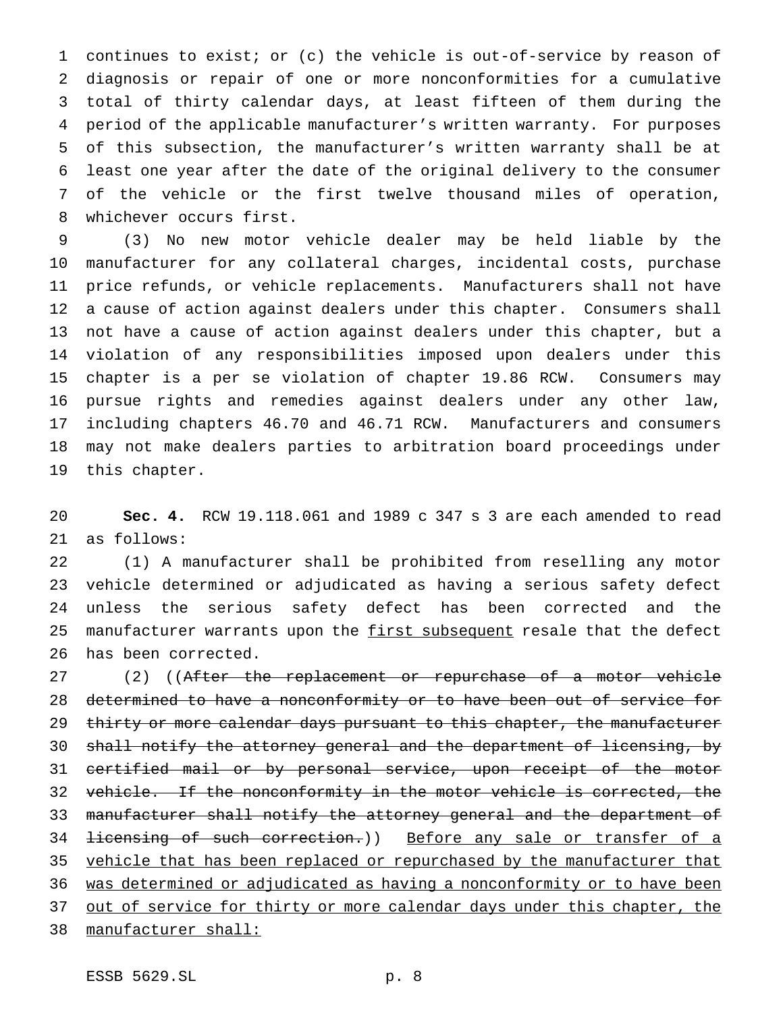continues to exist; or (c) the vehicle is out-of-service by reason of diagnosis or repair of one or more nonconformities for a cumulative total of thirty calendar days, at least fifteen of them during the period of the applicable manufacturer's written warranty. For purposes of this subsection, the manufacturer's written warranty shall be at least one year after the date of the original delivery to the consumer of the vehicle or the first twelve thousand miles of operation, whichever occurs first.

 (3) No new motor vehicle dealer may be held liable by the manufacturer for any collateral charges, incidental costs, purchase price refunds, or vehicle replacements. Manufacturers shall not have a cause of action against dealers under this chapter. Consumers shall not have a cause of action against dealers under this chapter, but a violation of any responsibilities imposed upon dealers under this chapter is a per se violation of chapter 19.86 RCW. Consumers may pursue rights and remedies against dealers under any other law, including chapters 46.70 and 46.71 RCW. Manufacturers and consumers may not make dealers parties to arbitration board proceedings under this chapter.

 **Sec. 4.** RCW 19.118.061 and 1989 c 347 s 3 are each amended to read as follows:

 (1) A manufacturer shall be prohibited from reselling any motor vehicle determined or adjudicated as having a serious safety defect unless the serious safety defect has been corrected and the 25 manufacturer warrants upon the first subsequent resale that the defect has been corrected.

27 (2) ((After the replacement or repurchase of a motor vehicle determined to have a nonconformity or to have been out of service for 29 thirty or more calendar days pursuant to this chapter, the manufacturer shall notify the attorney general and the department of licensing, by certified mail or by personal service, upon receipt of the motor vehicle. If the nonconformity in the motor vehicle is corrected, the manufacturer shall notify the attorney general and the department of 34 <del>licensing of such correction.</del>)) Before any sale or transfer of a 35 vehicle that has been replaced or repurchased by the manufacturer that was determined or adjudicated as having a nonconformity or to have been 37 out of service for thirty or more calendar days under this chapter, the manufacturer shall: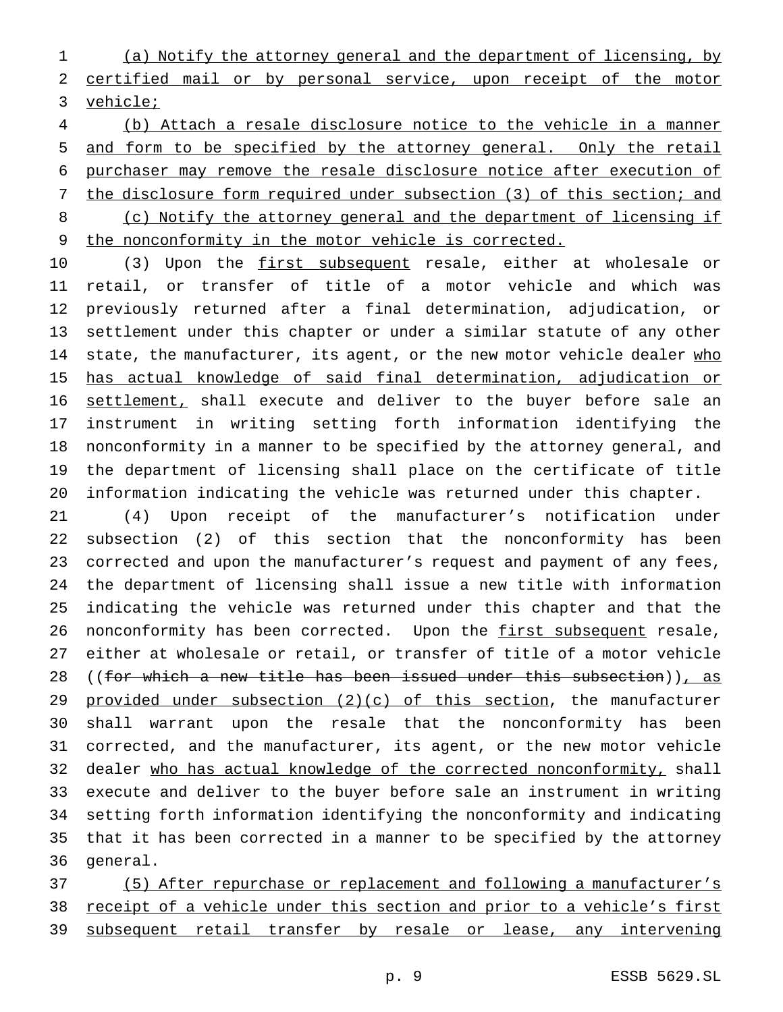(a) Notify the attorney general and the department of licensing, by certified mail or by personal service, upon receipt of the motor 3 vehicle;

 (b) Attach a resale disclosure notice to the vehicle in a manner and form to be specified by the attorney general. Only the retail purchaser may remove the resale disclosure notice after execution of 7 the disclosure form required under subsection (3) of this section; and (c) Notify the attorney general and the department of licensing if the nonconformity in the motor vehicle is corrected.

10 (3) Upon the first subsequent resale, either at wholesale or retail, or transfer of title of a motor vehicle and which was previously returned after a final determination, adjudication, or settlement under this chapter or under a similar statute of any other 14 state, the manufacturer, its agent, or the new motor vehicle dealer who has actual knowledge of said final determination, adjudication or settlement, shall execute and deliver to the buyer before sale an instrument in writing setting forth information identifying the nonconformity in a manner to be specified by the attorney general, and the department of licensing shall place on the certificate of title information indicating the vehicle was returned under this chapter.

 (4) Upon receipt of the manufacturer's notification under subsection (2) of this section that the nonconformity has been corrected and upon the manufacturer's request and payment of any fees, the department of licensing shall issue a new title with information indicating the vehicle was returned under this chapter and that the 26 nonconformity has been corrected. Upon the first subsequent resale, either at wholesale or retail, or transfer of title of a motor vehicle 28 ((for which a new title has been issued under this subsection)), as 29 provided under subsection (2)(c) of this section, the manufacturer shall warrant upon the resale that the nonconformity has been corrected, and the manufacturer, its agent, or the new motor vehicle dealer who has actual knowledge of the corrected nonconformity, shall execute and deliver to the buyer before sale an instrument in writing setting forth information identifying the nonconformity and indicating that it has been corrected in a manner to be specified by the attorney general.

 (5) After repurchase or replacement and following a manufacturer's receipt of a vehicle under this section and prior to a vehicle's first 39 subsequent retail transfer by resale or lease, any intervening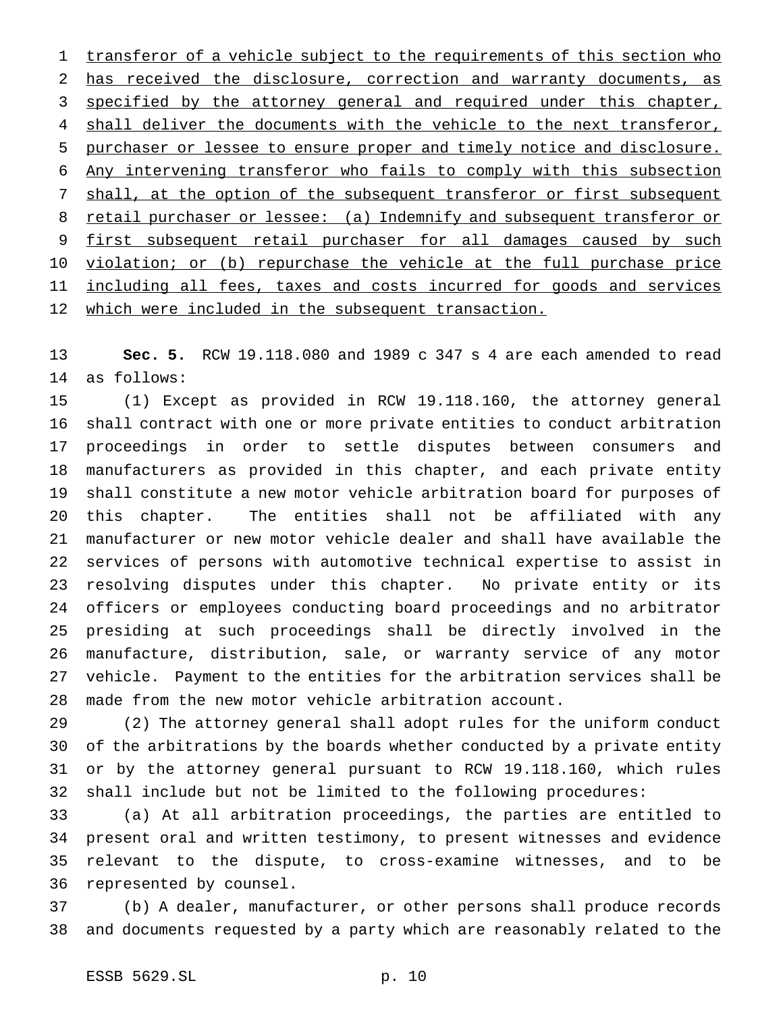1 transferor of a vehicle subject to the requirements of this section who has received the disclosure, correction and warranty documents, as 3 specified by the attorney general and required under this chapter, 4 shall deliver the documents with the vehicle to the next transferor, purchaser or lessee to ensure proper and timely notice and disclosure. Any intervening transferor who fails to comply with this subsection 7 shall, at the option of the subsequent transferor or first subsequent 8 retail purchaser or lessee: (a) Indemnify and subsequent transferor or 9 first subsequent retail purchaser for all damages caused by such 10 violation; or (b) repurchase the vehicle at the full purchase price 11 including all fees, taxes and costs incurred for goods and services which were included in the subsequent transaction.

 **Sec. 5.** RCW 19.118.080 and 1989 c 347 s 4 are each amended to read as follows:

 (1) Except as provided in RCW 19.118.160, the attorney general shall contract with one or more private entities to conduct arbitration proceedings in order to settle disputes between consumers and manufacturers as provided in this chapter, and each private entity shall constitute a new motor vehicle arbitration board for purposes of this chapter. The entities shall not be affiliated with any manufacturer or new motor vehicle dealer and shall have available the services of persons with automotive technical expertise to assist in resolving disputes under this chapter. No private entity or its officers or employees conducting board proceedings and no arbitrator presiding at such proceedings shall be directly involved in the manufacture, distribution, sale, or warranty service of any motor vehicle. Payment to the entities for the arbitration services shall be made from the new motor vehicle arbitration account.

 (2) The attorney general shall adopt rules for the uniform conduct of the arbitrations by the boards whether conducted by a private entity or by the attorney general pursuant to RCW 19.118.160, which rules shall include but not be limited to the following procedures:

 (a) At all arbitration proceedings, the parties are entitled to present oral and written testimony, to present witnesses and evidence relevant to the dispute, to cross-examine witnesses, and to be represented by counsel.

 (b) A dealer, manufacturer, or other persons shall produce records and documents requested by a party which are reasonably related to the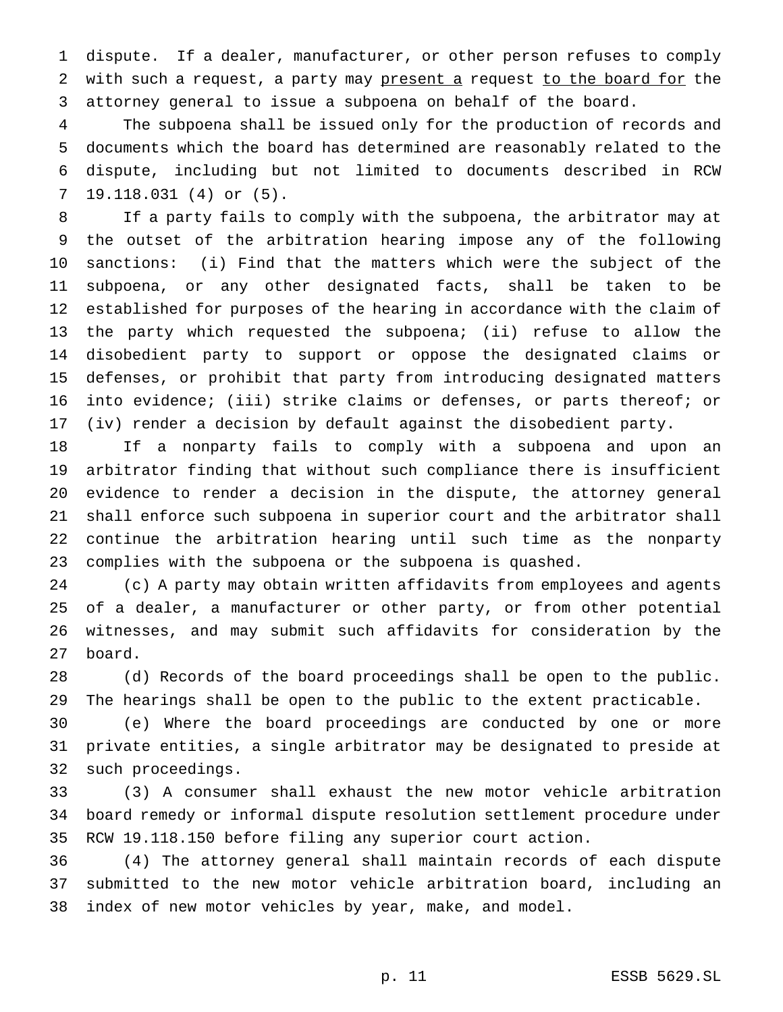dispute. If a dealer, manufacturer, or other person refuses to comply 2 with such a request, a party may present a request to the board for the attorney general to issue a subpoena on behalf of the board.

 The subpoena shall be issued only for the production of records and documents which the board has determined are reasonably related to the dispute, including but not limited to documents described in RCW 19.118.031 (4) or (5).

 If a party fails to comply with the subpoena, the arbitrator may at the outset of the arbitration hearing impose any of the following sanctions: (i) Find that the matters which were the subject of the subpoena, or any other designated facts, shall be taken to be established for purposes of the hearing in accordance with the claim of the party which requested the subpoena; (ii) refuse to allow the disobedient party to support or oppose the designated claims or defenses, or prohibit that party from introducing designated matters into evidence; (iii) strike claims or defenses, or parts thereof; or (iv) render a decision by default against the disobedient party.

 If a nonparty fails to comply with a subpoena and upon an arbitrator finding that without such compliance there is insufficient evidence to render a decision in the dispute, the attorney general shall enforce such subpoena in superior court and the arbitrator shall continue the arbitration hearing until such time as the nonparty complies with the subpoena or the subpoena is quashed.

 (c) A party may obtain written affidavits from employees and agents of a dealer, a manufacturer or other party, or from other potential witnesses, and may submit such affidavits for consideration by the board.

 (d) Records of the board proceedings shall be open to the public. The hearings shall be open to the public to the extent practicable.

 (e) Where the board proceedings are conducted by one or more private entities, a single arbitrator may be designated to preside at such proceedings.

 (3) A consumer shall exhaust the new motor vehicle arbitration board remedy or informal dispute resolution settlement procedure under RCW 19.118.150 before filing any superior court action.

 (4) The attorney general shall maintain records of each dispute submitted to the new motor vehicle arbitration board, including an index of new motor vehicles by year, make, and model.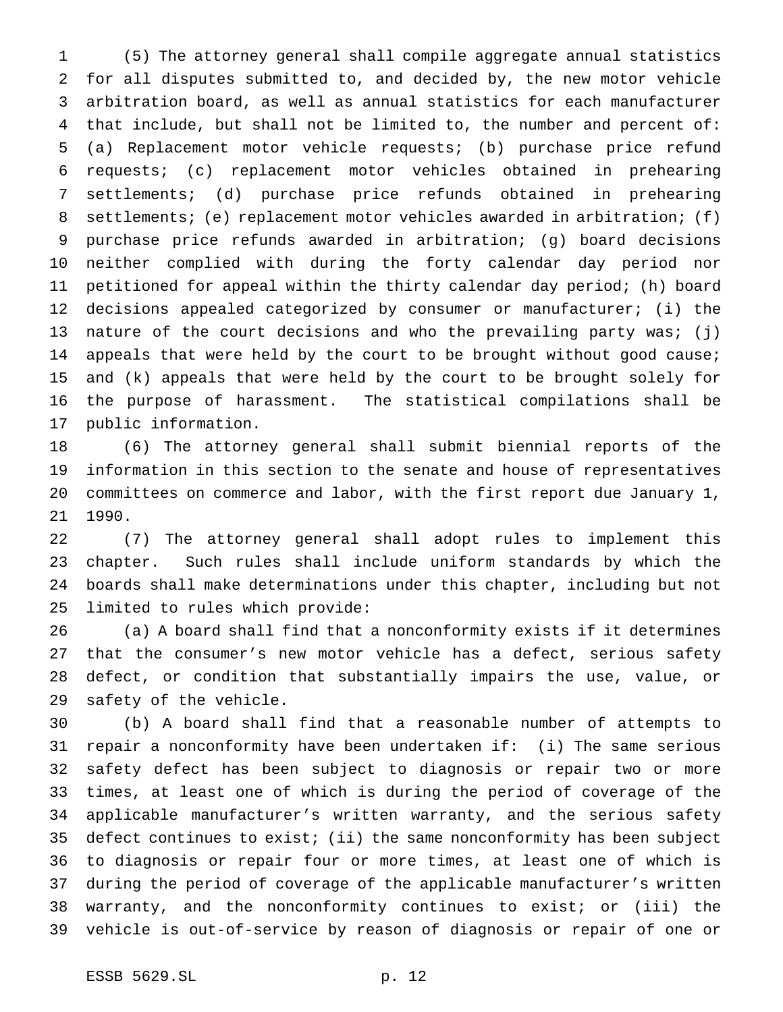(5) The attorney general shall compile aggregate annual statistics for all disputes submitted to, and decided by, the new motor vehicle arbitration board, as well as annual statistics for each manufacturer that include, but shall not be limited to, the number and percent of: (a) Replacement motor vehicle requests; (b) purchase price refund requests; (c) replacement motor vehicles obtained in prehearing settlements; (d) purchase price refunds obtained in prehearing settlements; (e) replacement motor vehicles awarded in arbitration; (f) purchase price refunds awarded in arbitration; (g) board decisions neither complied with during the forty calendar day period nor petitioned for appeal within the thirty calendar day period; (h) board decisions appealed categorized by consumer or manufacturer; (i) the nature of the court decisions and who the prevailing party was; (j) appeals that were held by the court to be brought without good cause; and (k) appeals that were held by the court to be brought solely for the purpose of harassment. The statistical compilations shall be public information.

 (6) The attorney general shall submit biennial reports of the information in this section to the senate and house of representatives committees on commerce and labor, with the first report due January 1, 1990.

 (7) The attorney general shall adopt rules to implement this chapter. Such rules shall include uniform standards by which the boards shall make determinations under this chapter, including but not limited to rules which provide:

 (a) A board shall find that a nonconformity exists if it determines that the consumer's new motor vehicle has a defect, serious safety defect, or condition that substantially impairs the use, value, or safety of the vehicle.

 (b) A board shall find that a reasonable number of attempts to repair a nonconformity have been undertaken if: (i) The same serious safety defect has been subject to diagnosis or repair two or more times, at least one of which is during the period of coverage of the applicable manufacturer's written warranty, and the serious safety defect continues to exist; (ii) the same nonconformity has been subject to diagnosis or repair four or more times, at least one of which is during the period of coverage of the applicable manufacturer's written warranty, and the nonconformity continues to exist; or (iii) the vehicle is out-of-service by reason of diagnosis or repair of one or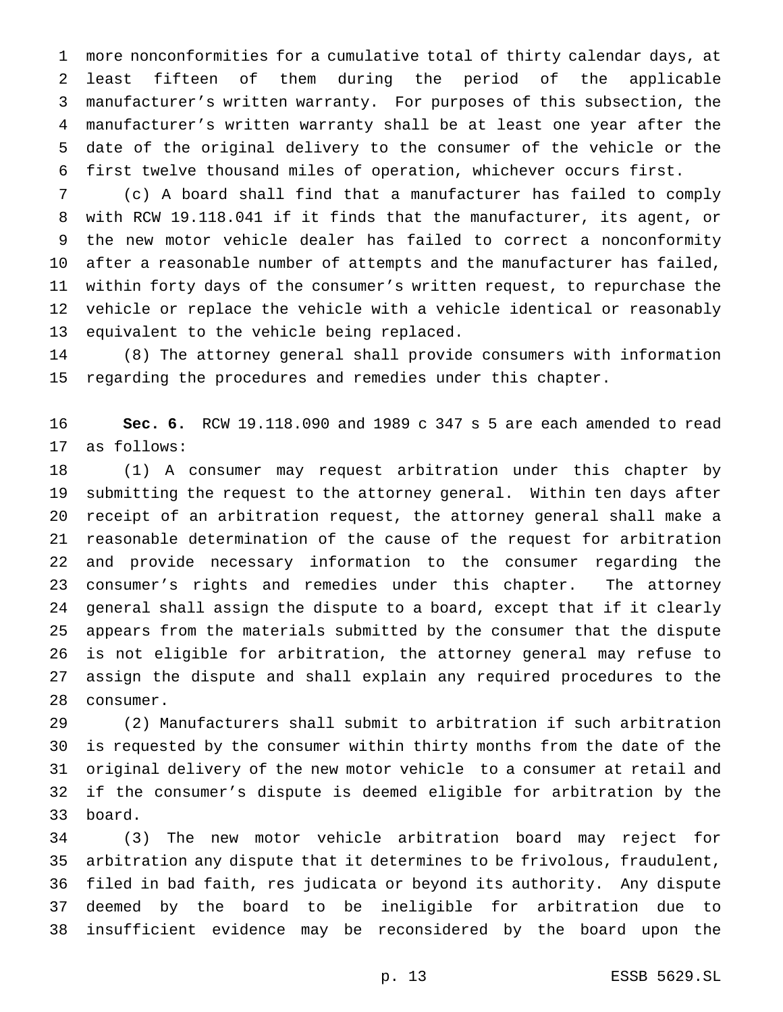more nonconformities for a cumulative total of thirty calendar days, at least fifteen of them during the period of the applicable manufacturer's written warranty. For purposes of this subsection, the manufacturer's written warranty shall be at least one year after the date of the original delivery to the consumer of the vehicle or the first twelve thousand miles of operation, whichever occurs first.

 (c) A board shall find that a manufacturer has failed to comply with RCW 19.118.041 if it finds that the manufacturer, its agent, or the new motor vehicle dealer has failed to correct a nonconformity after a reasonable number of attempts and the manufacturer has failed, within forty days of the consumer's written request, to repurchase the vehicle or replace the vehicle with a vehicle identical or reasonably equivalent to the vehicle being replaced.

 (8) The attorney general shall provide consumers with information regarding the procedures and remedies under this chapter.

 **Sec. 6.** RCW 19.118.090 and 1989 c 347 s 5 are each amended to read as follows:

 (1) A consumer may request arbitration under this chapter by submitting the request to the attorney general. Within ten days after receipt of an arbitration request, the attorney general shall make a reasonable determination of the cause of the request for arbitration and provide necessary information to the consumer regarding the consumer's rights and remedies under this chapter. The attorney general shall assign the dispute to a board, except that if it clearly appears from the materials submitted by the consumer that the dispute is not eligible for arbitration, the attorney general may refuse to assign the dispute and shall explain any required procedures to the consumer.

 (2) Manufacturers shall submit to arbitration if such arbitration is requested by the consumer within thirty months from the date of the original delivery of the new motor vehicle to a consumer at retail and if the consumer's dispute is deemed eligible for arbitration by the board.

 (3) The new motor vehicle arbitration board may reject for arbitration any dispute that it determines to be frivolous, fraudulent, filed in bad faith, res judicata or beyond its authority. Any dispute deemed by the board to be ineligible for arbitration due to insufficient evidence may be reconsidered by the board upon the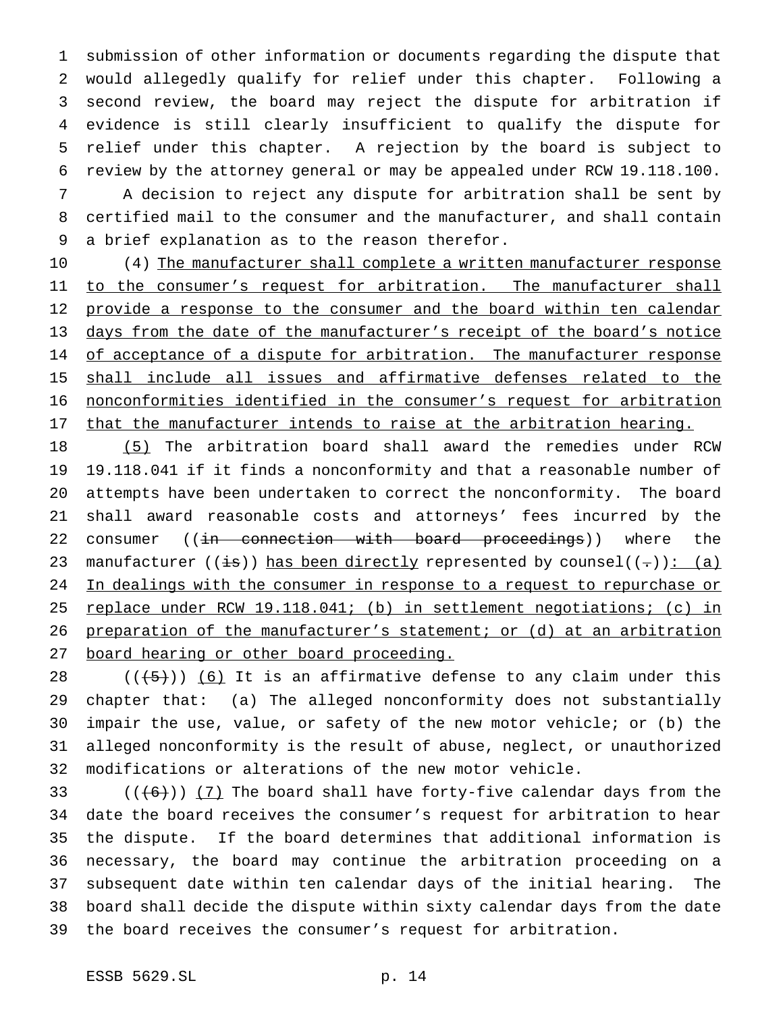submission of other information or documents regarding the dispute that would allegedly qualify for relief under this chapter. Following a second review, the board may reject the dispute for arbitration if evidence is still clearly insufficient to qualify the dispute for relief under this chapter. A rejection by the board is subject to review by the attorney general or may be appealed under RCW 19.118.100.

 A decision to reject any dispute for arbitration shall be sent by certified mail to the consumer and the manufacturer, and shall contain a brief explanation as to the reason therefor.

10 (4) The manufacturer shall complete a written manufacturer response 11 to the consumer's request for arbitration. The manufacturer shall 12 provide a response to the consumer and the board within ten calendar days from the date of the manufacturer's receipt of the board's notice 14 of acceptance of a dispute for arbitration. The manufacturer response shall include all issues and affirmative defenses related to the nonconformities identified in the consumer's request for arbitration 17 that the manufacturer intends to raise at the arbitration hearing.

 (5) The arbitration board shall award the remedies under RCW 19.118.041 if it finds a nonconformity and that a reasonable number of attempts have been undertaken to correct the nonconformity. The board shall award reasonable costs and attorneys' fees incurred by the 22 consumer ((in connection with board proceedings)) where the 23 manufacturer ((is)) has been directly represented by counsel((-)): (a) 24 In dealings with the consumer in response to a request to repurchase or replace under RCW 19.118.041; (b) in settlement negotiations; (c) in 26 preparation of the manufacturer's statement; or (d) at an arbitration 27 board hearing or other board proceeding.

 $((+5))$   $(6)$  It is an affirmative defense to any claim under this chapter that: (a) The alleged nonconformity does not substantially impair the use, value, or safety of the new motor vehicle; or (b) the alleged nonconformity is the result of abuse, neglect, or unauthorized modifications or alterations of the new motor vehicle.

 $((+6))$   $(7)$  The board shall have forty-five calendar days from the date the board receives the consumer's request for arbitration to hear the dispute. If the board determines that additional information is necessary, the board may continue the arbitration proceeding on a subsequent date within ten calendar days of the initial hearing. The board shall decide the dispute within sixty calendar days from the date the board receives the consumer's request for arbitration.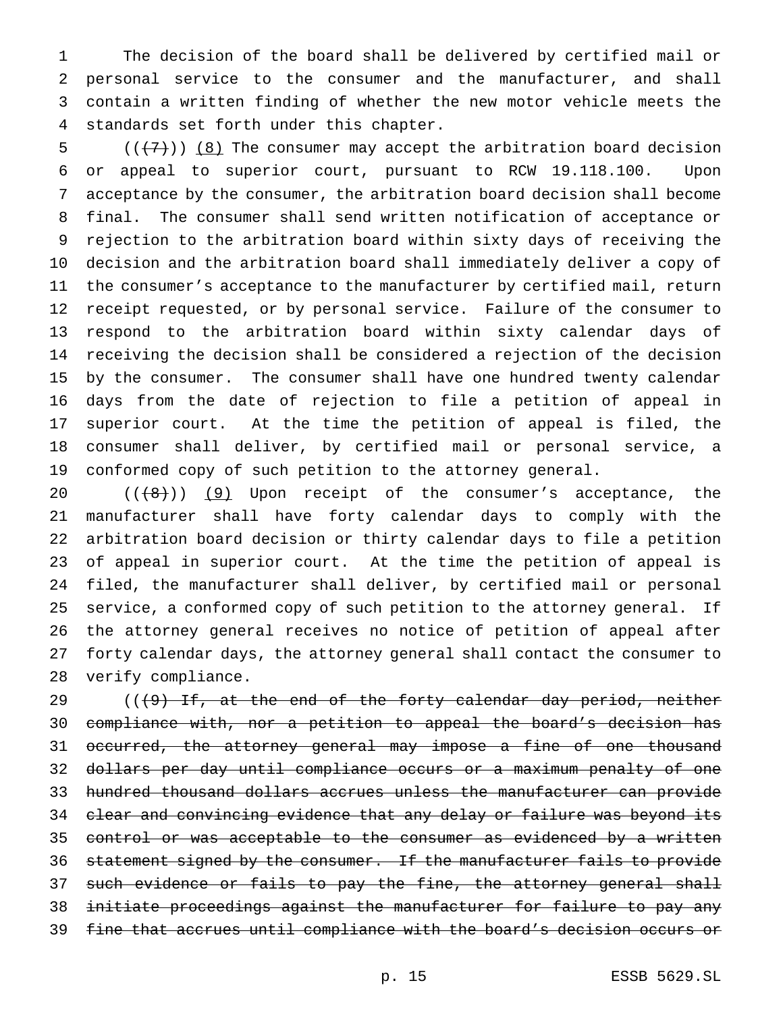The decision of the board shall be delivered by certified mail or personal service to the consumer and the manufacturer, and shall contain a written finding of whether the new motor vehicle meets the standards set forth under this chapter.

 $((+7))$  (8) The consumer may accept the arbitration board decision or appeal to superior court, pursuant to RCW 19.118.100. Upon acceptance by the consumer, the arbitration board decision shall become final. The consumer shall send written notification of acceptance or rejection to the arbitration board within sixty days of receiving the decision and the arbitration board shall immediately deliver a copy of the consumer's acceptance to the manufacturer by certified mail, return receipt requested, or by personal service. Failure of the consumer to respond to the arbitration board within sixty calendar days of receiving the decision shall be considered a rejection of the decision by the consumer. The consumer shall have one hundred twenty calendar days from the date of rejection to file a petition of appeal in superior court. At the time the petition of appeal is filed, the consumer shall deliver, by certified mail or personal service, a conformed copy of such petition to the attorney general.

 $((+8))$   $(9)$  Upon receipt of the consumer's acceptance, the manufacturer shall have forty calendar days to comply with the arbitration board decision or thirty calendar days to file a petition of appeal in superior court. At the time the petition of appeal is filed, the manufacturer shall deliver, by certified mail or personal service, a conformed copy of such petition to the attorney general. If the attorney general receives no notice of petition of appeal after forty calendar days, the attorney general shall contact the consumer to verify compliance.

 $($   $($   $($   $\theta$   $)$  If, at the end of the forty calendar day period, neither compliance with, nor a petition to appeal the board's decision has 31 occurred, the attorney general may impose a fine of one thousand dollars per day until compliance occurs or a maximum penalty of one hundred thousand dollars accrues unless the manufacturer can provide 34 clear and convincing evidence that any delay or failure was beyond its 35 control or was acceptable to the consumer as evidenced by a written 36 statement signed by the consumer. If the manufacturer fails to provide 37 such evidence or fails to pay the fine, the attorney general shall initiate proceedings against the manufacturer for failure to pay any fine that accrues until compliance with the board's decision occurs or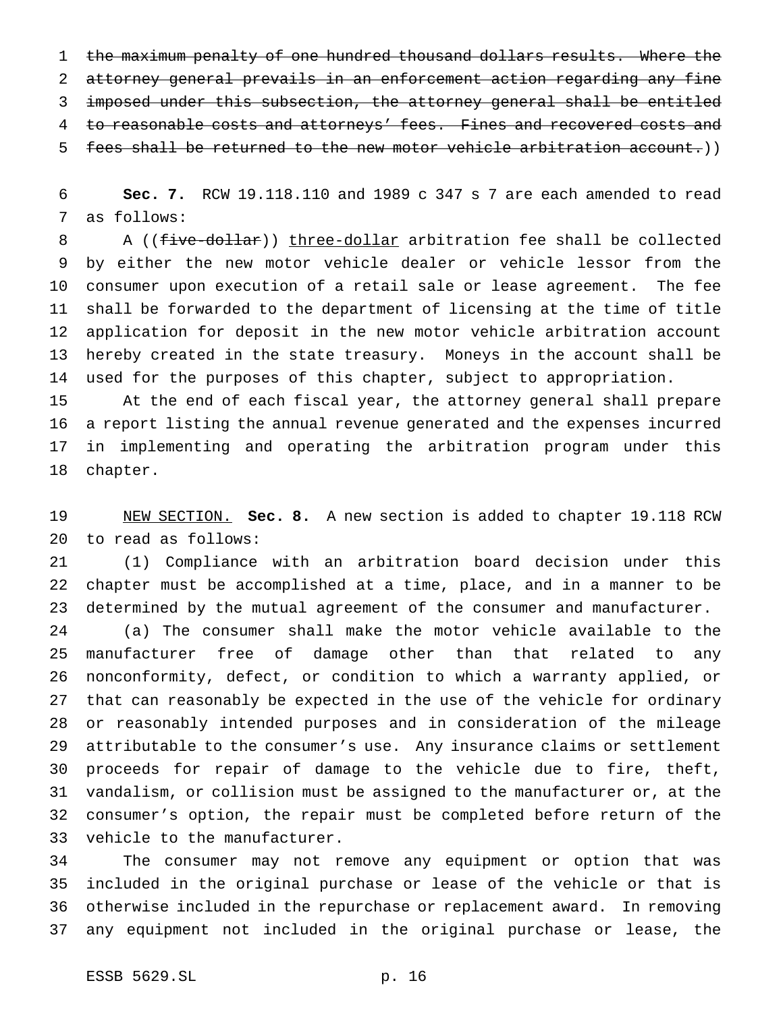the maximum penalty of one hundred thousand dollars results. Where the attorney general prevails in an enforcement action regarding any fine imposed under this subsection, the attorney general shall be entitled 4 to reasonable costs and attorneys' fees. Fines and recovered costs and fees shall be returned to the new motor vehicle arbitration account.))

 **Sec. 7.** RCW 19.118.110 and 1989 c 347 s 7 are each amended to read as follows:

8 A ((five-dollar)) three-dollar arbitration fee shall be collected by either the new motor vehicle dealer or vehicle lessor from the consumer upon execution of a retail sale or lease agreement. The fee shall be forwarded to the department of licensing at the time of title application for deposit in the new motor vehicle arbitration account hereby created in the state treasury. Moneys in the account shall be used for the purposes of this chapter, subject to appropriation.

 At the end of each fiscal year, the attorney general shall prepare a report listing the annual revenue generated and the expenses incurred in implementing and operating the arbitration program under this chapter.

 NEW SECTION. **Sec. 8.** A new section is added to chapter 19.118 RCW to read as follows:

 (1) Compliance with an arbitration board decision under this chapter must be accomplished at a time, place, and in a manner to be determined by the mutual agreement of the consumer and manufacturer.

 (a) The consumer shall make the motor vehicle available to the manufacturer free of damage other than that related to any nonconformity, defect, or condition to which a warranty applied, or that can reasonably be expected in the use of the vehicle for ordinary or reasonably intended purposes and in consideration of the mileage attributable to the consumer's use. Any insurance claims or settlement proceeds for repair of damage to the vehicle due to fire, theft, vandalism, or collision must be assigned to the manufacturer or, at the consumer's option, the repair must be completed before return of the vehicle to the manufacturer.

 The consumer may not remove any equipment or option that was included in the original purchase or lease of the vehicle or that is otherwise included in the repurchase or replacement award. In removing any equipment not included in the original purchase or lease, the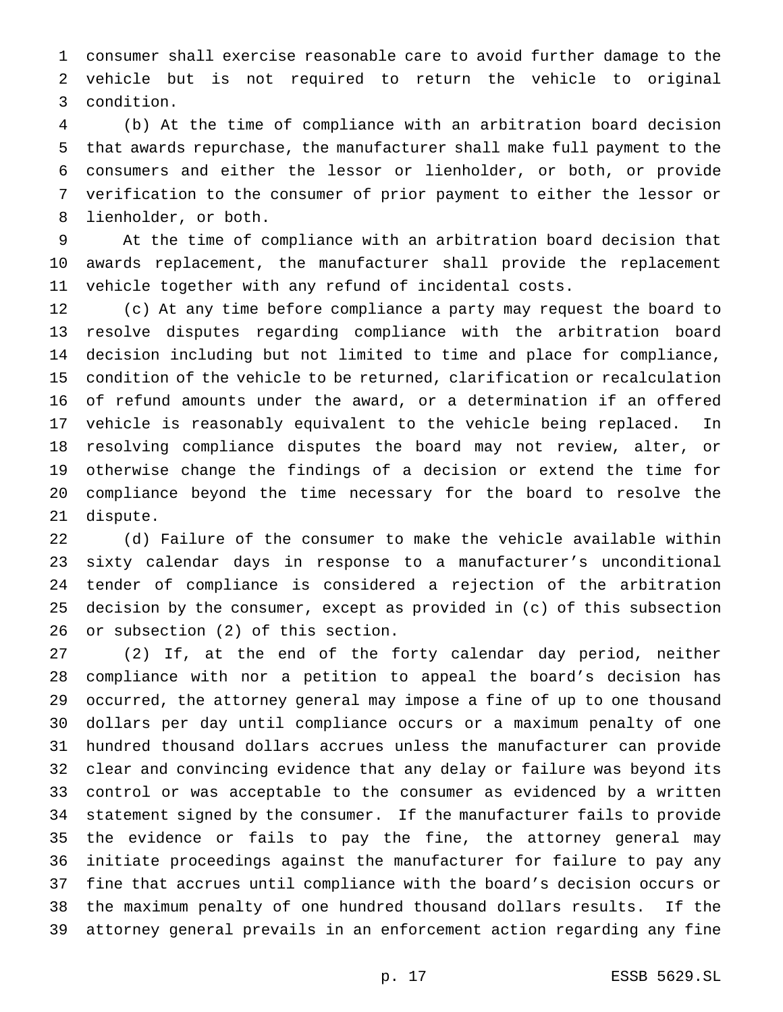consumer shall exercise reasonable care to avoid further damage to the vehicle but is not required to return the vehicle to original condition.

 (b) At the time of compliance with an arbitration board decision that awards repurchase, the manufacturer shall make full payment to the consumers and either the lessor or lienholder, or both, or provide verification to the consumer of prior payment to either the lessor or lienholder, or both.

 At the time of compliance with an arbitration board decision that awards replacement, the manufacturer shall provide the replacement vehicle together with any refund of incidental costs.

 (c) At any time before compliance a party may request the board to resolve disputes regarding compliance with the arbitration board decision including but not limited to time and place for compliance, condition of the vehicle to be returned, clarification or recalculation of refund amounts under the award, or a determination if an offered vehicle is reasonably equivalent to the vehicle being replaced. In resolving compliance disputes the board may not review, alter, or otherwise change the findings of a decision or extend the time for compliance beyond the time necessary for the board to resolve the dispute.

 (d) Failure of the consumer to make the vehicle available within sixty calendar days in response to a manufacturer's unconditional tender of compliance is considered a rejection of the arbitration decision by the consumer, except as provided in (c) of this subsection or subsection (2) of this section.

 (2) If, at the end of the forty calendar day period, neither compliance with nor a petition to appeal the board's decision has occurred, the attorney general may impose a fine of up to one thousand dollars per day until compliance occurs or a maximum penalty of one hundred thousand dollars accrues unless the manufacturer can provide clear and convincing evidence that any delay or failure was beyond its control or was acceptable to the consumer as evidenced by a written statement signed by the consumer. If the manufacturer fails to provide the evidence or fails to pay the fine, the attorney general may initiate proceedings against the manufacturer for failure to pay any fine that accrues until compliance with the board's decision occurs or the maximum penalty of one hundred thousand dollars results. If the attorney general prevails in an enforcement action regarding any fine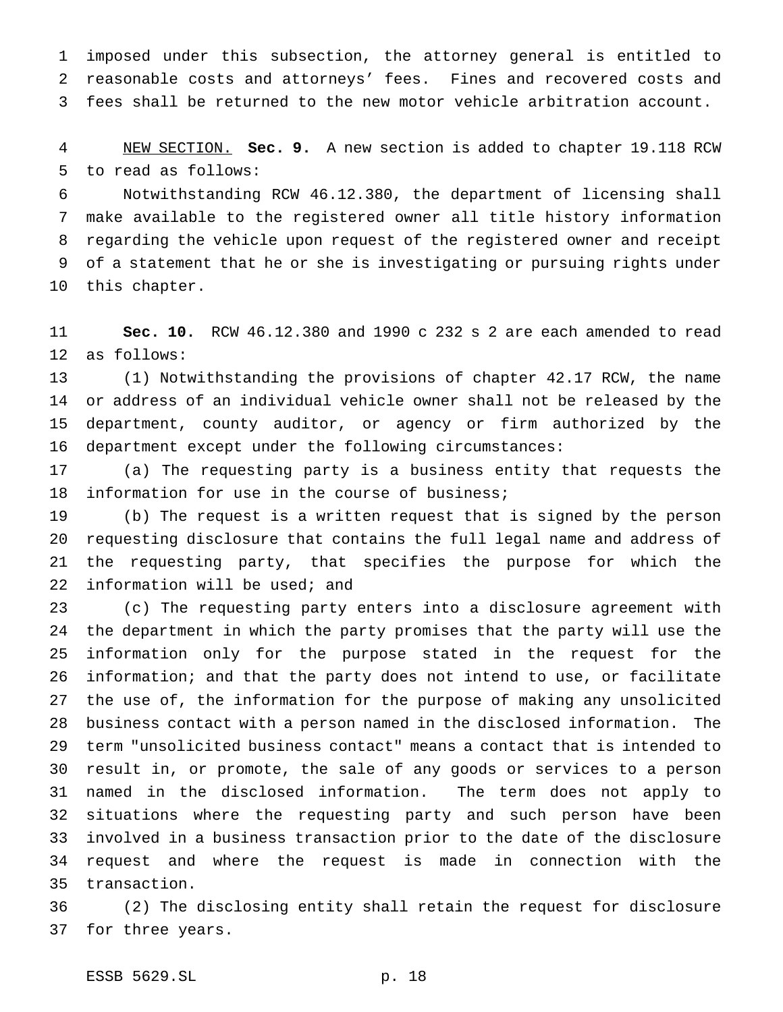imposed under this subsection, the attorney general is entitled to reasonable costs and attorneys' fees. Fines and recovered costs and fees shall be returned to the new motor vehicle arbitration account.

 NEW SECTION. **Sec. 9.** A new section is added to chapter 19.118 RCW to read as follows:

 Notwithstanding RCW 46.12.380, the department of licensing shall make available to the registered owner all title history information regarding the vehicle upon request of the registered owner and receipt of a statement that he or she is investigating or pursuing rights under this chapter.

 **Sec. 10.** RCW 46.12.380 and 1990 c 232 s 2 are each amended to read as follows:

 (1) Notwithstanding the provisions of chapter 42.17 RCW, the name or address of an individual vehicle owner shall not be released by the department, county auditor, or agency or firm authorized by the department except under the following circumstances:

 (a) The requesting party is a business entity that requests the information for use in the course of business;

 (b) The request is a written request that is signed by the person requesting disclosure that contains the full legal name and address of the requesting party, that specifies the purpose for which the information will be used; and

 (c) The requesting party enters into a disclosure agreement with the department in which the party promises that the party will use the information only for the purpose stated in the request for the information; and that the party does not intend to use, or facilitate the use of, the information for the purpose of making any unsolicited business contact with a person named in the disclosed information. The term "unsolicited business contact" means a contact that is intended to result in, or promote, the sale of any goods or services to a person named in the disclosed information. The term does not apply to situations where the requesting party and such person have been involved in a business transaction prior to the date of the disclosure request and where the request is made in connection with the transaction.

 (2) The disclosing entity shall retain the request for disclosure for three years.

ESSB 5629.SL p. 18